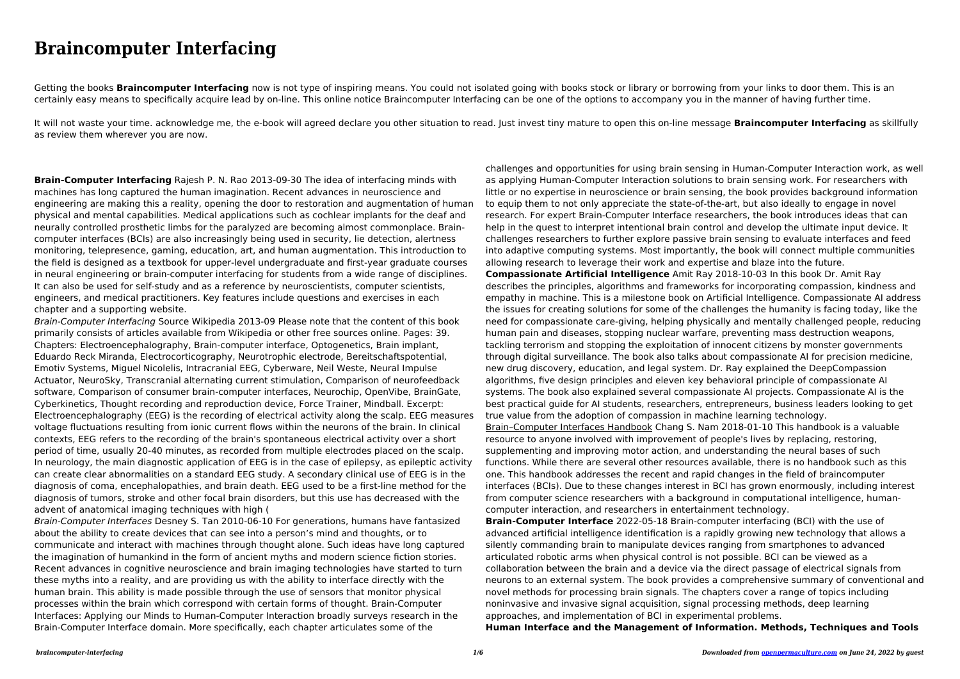## **Braincomputer Interfacing**

Getting the books **Braincomputer Interfacing** now is not type of inspiring means. You could not isolated going with books stock or library or borrowing from your links to door them. This is an certainly easy means to specifically acquire lead by on-line. This online notice Braincomputer Interfacing can be one of the options to accompany you in the manner of having further time.

It will not waste your time. acknowledge me, the e-book will agreed declare you other situation to read. Just invest tiny mature to open this on-line message **Braincomputer Interfacing** as skillfully as review them wherever you are now.

**Brain-Computer Interfacing** Rajesh P. N. Rao 2013-09-30 The idea of interfacing minds with machines has long captured the human imagination. Recent advances in neuroscience and engineering are making this a reality, opening the door to restoration and augmentation of human physical and mental capabilities. Medical applications such as cochlear implants for the deaf and neurally controlled prosthetic limbs for the paralyzed are becoming almost commonplace. Braincomputer interfaces (BCIs) are also increasingly being used in security, lie detection, alertness monitoring, telepresence, gaming, education, art, and human augmentation. This introduction to the field is designed as a textbook for upper-level undergraduate and first-year graduate courses in neural engineering or brain-computer interfacing for students from a wide range of disciplines. It can also be used for self-study and as a reference by neuroscientists, computer scientists, engineers, and medical practitioners. Key features include questions and exercises in each chapter and a supporting website.

Brain-Computer Interfacing Source Wikipedia 2013-09 Please note that the content of this book primarily consists of articles available from Wikipedia or other free sources online. Pages: 39. Chapters: Electroencephalography, Brain-computer interface, Optogenetics, Brain implant, Eduardo Reck Miranda, Electrocorticography, Neurotrophic electrode, Bereitschaftspotential, Emotiv Systems, Miguel Nicolelis, Intracranial EEG, Cyberware, Neil Weste, Neural Impulse Actuator, NeuroSky, Transcranial alternating current stimulation, Comparison of neurofeedback software, Comparison of consumer brain-computer interfaces, Neurochip, OpenVibe, BrainGate, Cyberkinetics, Thought recording and reproduction device, Force Trainer, Mindball. Excerpt: Electroencephalography (EEG) is the recording of electrical activity along the scalp. EEG measures voltage fluctuations resulting from ionic current flows within the neurons of the brain. In clinical contexts, EEG refers to the recording of the brain's spontaneous electrical activity over a short period of time, usually 20-40 minutes, as recorded from multiple electrodes placed on the scalp. In neurology, the main diagnostic application of EEG is in the case of epilepsy, as epileptic activity can create clear abnormalities on a standard EEG study. A secondary clinical use of EEG is in the diagnosis of coma, encephalopathies, and brain death. EEG used to be a first-line method for the diagnosis of tumors, stroke and other focal brain disorders, but this use has decreased with the advent of anatomical imaging techniques with high (

Brain-Computer Interfaces Desney S. Tan 2010-06-10 For generations, humans have fantasized about the ability to create devices that can see into a person's mind and thoughts, or to communicate and interact with machines through thought alone. Such ideas have long captured the imagination of humankind in the form of ancient myths and modern science fiction stories. Recent advances in cognitive neuroscience and brain imaging technologies have started to turn these myths into a reality, and are providing us with the ability to interface directly with the human brain. This ability is made possible through the use of sensors that monitor physical processes within the brain which correspond with certain forms of thought. Brain-Computer Interfaces: Applying our Minds to Human-Computer Interaction broadly surveys research in the Brain-Computer Interface domain. More specifically, each chapter articulates some of the

challenges and opportunities for using brain sensing in Human-Computer Interaction work, as well as applying Human-Computer Interaction solutions to brain sensing work. For researchers with little or no expertise in neuroscience or brain sensing, the book provides background information to equip them to not only appreciate the state-of-the-art, but also ideally to engage in novel research. For expert Brain-Computer Interface researchers, the book introduces ideas that can help in the quest to interpret intentional brain control and develop the ultimate input device. It challenges researchers to further explore passive brain sensing to evaluate interfaces and feed into adaptive computing systems. Most importantly, the book will connect multiple communities allowing research to leverage their work and expertise and blaze into the future. **Compassionate Artificial Intelligence** Amit Ray 2018-10-03 In this book Dr. Amit Ray describes the principles, algorithms and frameworks for incorporating compassion, kindness and empathy in machine. This is a milestone book on Artificial Intelligence. Compassionate AI address the issues for creating solutions for some of the challenges the humanity is facing today, like the need for compassionate care-giving, helping physically and mentally challenged people, reducing human pain and diseases, stopping nuclear warfare, preventing mass destruction weapons, tackling terrorism and stopping the exploitation of innocent citizens by monster governments through digital surveillance. The book also talks about compassionate AI for precision medicine, new drug discovery, education, and legal system. Dr. Ray explained the DeepCompassion algorithms, five design principles and eleven key behavioral principle of compassionate AI systems. The book also explained several compassionate AI projects. Compassionate AI is the best practical guide for AI students, researchers, entrepreneurs, business leaders looking to get true value from the adoption of compassion in machine learning technology. Brain–Computer Interfaces Handbook Chang S. Nam 2018-01-10 This handbook is a valuable resource to anyone involved with improvement of people's lives by replacing, restoring, supplementing and improving motor action, and understanding the neural bases of such functions. While there are several other resources available, there is no handbook such as this one. This handbook addresses the recent and rapid changes in the field of braincomputer interfaces (BCIs). Due to these changes interest in BCI has grown enormously, including interest from computer science researchers with a background in computational intelligence, humancomputer interaction, and researchers in entertainment technology. **Brain-Computer Interface** 2022-05-18 Brain-computer interfacing (BCI) with the use of advanced artificial intelligence identification is a rapidly growing new technology that allows a silently commanding brain to manipulate devices ranging from smartphones to advanced articulated robotic arms when physical control is not possible. BCI can be viewed as a collaboration between the brain and a device via the direct passage of electrical signals from neurons to an external system. The book provides a comprehensive summary of conventional and novel methods for processing brain signals. The chapters cover a range of topics including noninvasive and invasive signal acquisition, signal processing methods, deep learning approaches, and implementation of BCI in experimental problems. **Human Interface and the Management of Information. Methods, Techniques and Tools**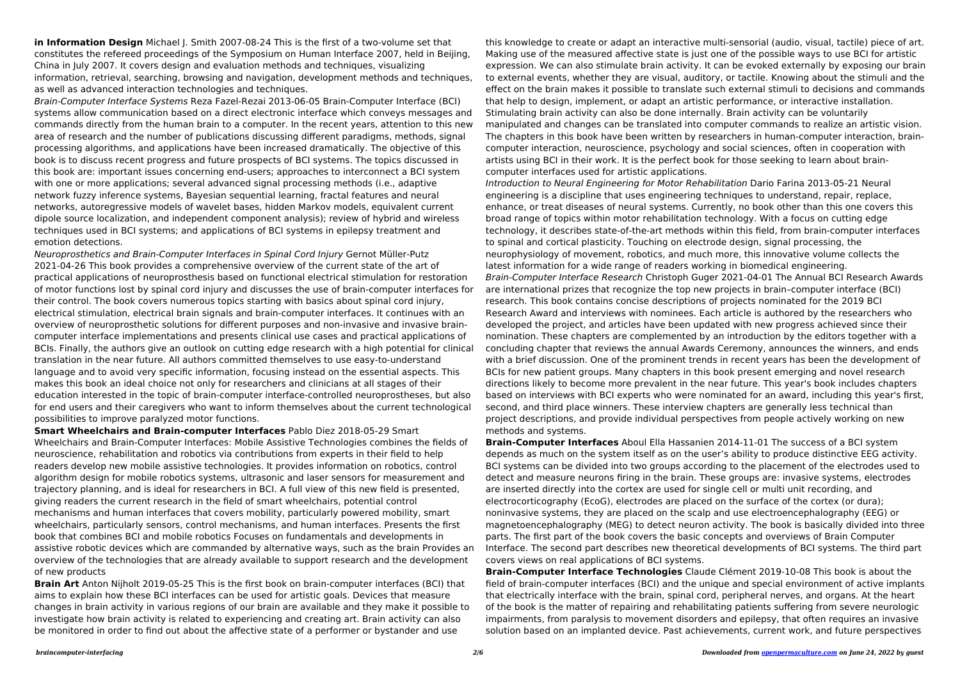**in Information Design** Michael J. Smith 2007-08-24 This is the first of a two-volume set that constitutes the refereed proceedings of the Symposium on Human Interface 2007, held in Beijing, China in July 2007. It covers design and evaluation methods and techniques, visualizing information, retrieval, searching, browsing and navigation, development methods and techniques, as well as advanced interaction technologies and techniques.

Brain-Computer Interface Systems Reza Fazel-Rezai 2013-06-05 Brain-Computer Interface (BCI) systems allow communication based on a direct electronic interface which conveys messages and commands directly from the human brain to a computer. In the recent years, attention to this new area of research and the number of publications discussing different paradigms, methods, signal processing algorithms, and applications have been increased dramatically. The objective of this book is to discuss recent progress and future prospects of BCI systems. The topics discussed in this book are: important issues concerning end-users; approaches to interconnect a BCI system with one or more applications; several advanced signal processing methods (i.e., adaptive network fuzzy inference systems, Bayesian sequential learning, fractal features and neural networks, autoregressive models of wavelet bases, hidden Markov models, equivalent current dipole source localization, and independent component analysis); review of hybrid and wireless techniques used in BCI systems; and applications of BCI systems in epilepsy treatment and emotion detections.

Neuroprosthetics and Brain-Computer Interfaces in Spinal Cord Injury Gernot Müller-Putz 2021-04-26 This book provides a comprehensive overview of the current state of the art of practical applications of neuroprosthesis based on functional electrical stimulation for restoration of motor functions lost by spinal cord injury and discusses the use of brain-computer interfaces for their control. The book covers numerous topics starting with basics about spinal cord injury, electrical stimulation, electrical brain signals and brain-computer interfaces. It continues with an overview of neuroprosthetic solutions for different purposes and non-invasive and invasive braincomputer interface implementations and presents clinical use cases and practical applications of BCIs. Finally, the authors give an outlook on cutting edge research with a high potential for clinical translation in the near future. All authors committed themselves to use easy-to-understand language and to avoid very specific information, focusing instead on the essential aspects. This makes this book an ideal choice not only for researchers and clinicians at all stages of their education interested in the topic of brain-computer interface-controlled neuroprostheses, but also for end users and their caregivers who want to inform themselves about the current technological possibilities to improve paralyzed motor functions.

**Smart Wheelchairs and Brain-computer Interfaces** Pablo Diez 2018-05-29 Smart Wheelchairs and Brain-Computer Interfaces: Mobile Assistive Technologies combines the fields of neuroscience, rehabilitation and robotics via contributions from experts in their field to help readers develop new mobile assistive technologies. It provides information on robotics, control algorithm design for mobile robotics systems, ultrasonic and laser sensors for measurement and trajectory planning, and is ideal for researchers in BCI. A full view of this new field is presented, giving readers the current research in the field of smart wheelchairs, potential control mechanisms and human interfaces that covers mobility, particularly powered mobility, smart wheelchairs, particularly sensors, control mechanisms, and human interfaces. Presents the first book that combines BCI and mobile robotics Focuses on fundamentals and developments in assistive robotic devices which are commanded by alternative ways, such as the brain Provides an overview of the technologies that are already available to support research and the development of new products

**Brain Art** Anton Nijholt 2019-05-25 This is the first book on brain-computer interfaces (BCI) that aims to explain how these BCI interfaces can be used for artistic goals. Devices that measure changes in brain activity in various regions of our brain are available and they make it possible to investigate how brain activity is related to experiencing and creating art. Brain activity can also be monitored in order to find out about the affective state of a performer or bystander and use

this knowledge to create or adapt an interactive multi-sensorial (audio, visual, tactile) piece of art. Making use of the measured affective state is just one of the possible ways to use BCI for artistic expression. We can also stimulate brain activity. It can be evoked externally by exposing our brain to external events, whether they are visual, auditory, or tactile. Knowing about the stimuli and the effect on the brain makes it possible to translate such external stimuli to decisions and commands that help to design, implement, or adapt an artistic performance, or interactive installation. Stimulating brain activity can also be done internally. Brain activity can be voluntarily manipulated and changes can be translated into computer commands to realize an artistic vision. The chapters in this book have been written by researchers in human-computer interaction, braincomputer interaction, neuroscience, psychology and social sciences, often in cooperation with artists using BCI in their work. It is the perfect book for those seeking to learn about braincomputer interfaces used for artistic applications. Introduction to Neural Engineering for Motor Rehabilitation Dario Farina 2013-05-21 Neural engineering is a discipline that uses engineering techniques to understand, repair, replace, enhance, or treat diseases of neural systems. Currently, no book other than this one covers this broad range of topics within motor rehabilitation technology. With a focus on cutting edge technology, it describes state-of-the-art methods within this field, from brain-computer interfaces to spinal and cortical plasticity. Touching on electrode design, signal processing, the neurophysiology of movement, robotics, and much more, this innovative volume collects the latest information for a wide range of readers working in biomedical engineering. Brain-Computer Interface Research Christoph Guger 2021-04-01 The Annual BCI Research Awards are international prizes that recognize the top new projects in brain–computer interface (BCI) research. This book contains concise descriptions of projects nominated for the 2019 BCI Research Award and interviews with nominees. Each article is authored by the researchers who developed the project, and articles have been updated with new progress achieved since their nomination. These chapters are complemented by an introduction by the editors together with a concluding chapter that reviews the annual Awards Ceremony, announces the winners, and ends with a brief discussion. One of the prominent trends in recent years has been the development of BCIs for new patient groups. Many chapters in this book present emerging and novel research directions likely to become more prevalent in the near future. This year's book includes chapters based on interviews with BCI experts who were nominated for an award, including this year's first, second, and third place winners. These interview chapters are generally less technical than project descriptions, and provide individual perspectives from people actively working on new methods and systems.

**Brain-Computer Interfaces** Aboul Ella Hassanien 2014-11-01 The success of a BCI system depends as much on the system itself as on the user's ability to produce distinctive EEG activity. BCI systems can be divided into two groups according to the placement of the electrodes used to detect and measure neurons firing in the brain. These groups are: invasive systems, electrodes are inserted directly into the cortex are used for single cell or multi unit recording, and electrocorticography (EcoG), electrodes are placed on the surface of the cortex (or dura); noninvasive systems, they are placed on the scalp and use electroencephalography (EEG) or magnetoencephalography (MEG) to detect neuron activity. The book is basically divided into three parts. The first part of the book covers the basic concepts and overviews of Brain Computer Interface. The second part describes new theoretical developments of BCI systems. The third part covers views on real applications of BCI systems.

**Brain-Computer Interface Technologies** Claude Clément 2019-10-08 This book is about the field of brain-computer interfaces (BCI) and the unique and special environment of active implants that electrically interface with the brain, spinal cord, peripheral nerves, and organs. At the heart of the book is the matter of repairing and rehabilitating patients suffering from severe neurologic impairments, from paralysis to movement disorders and epilepsy, that often requires an invasive solution based on an implanted device. Past achievements, current work, and future perspectives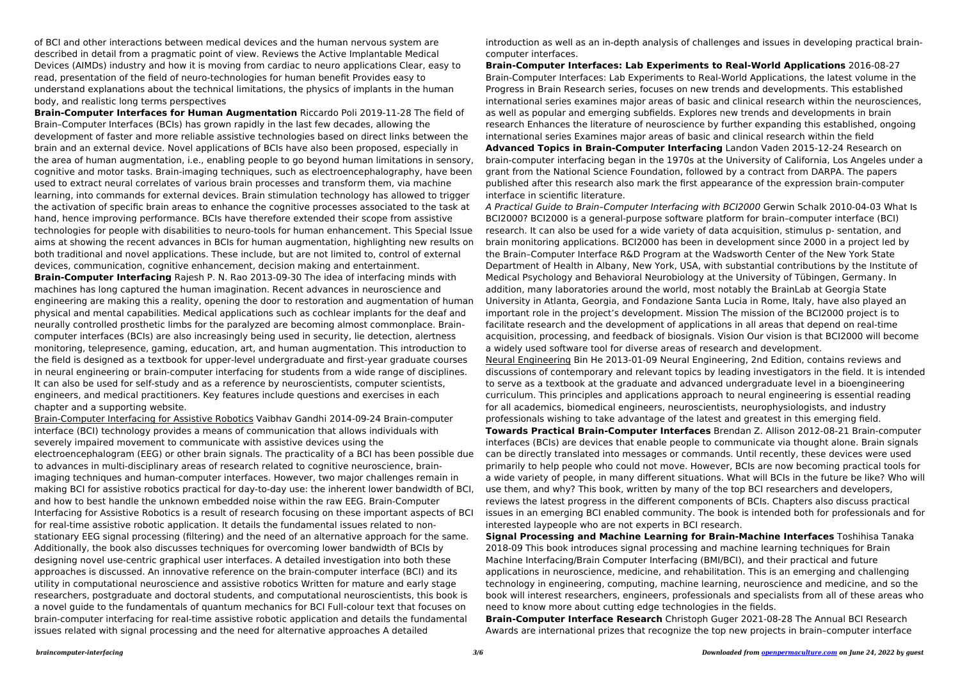of BCI and other interactions between medical devices and the human nervous system are described in detail from a pragmatic point of view. Reviews the Active Implantable Medical Devices (AIMDs) industry and how it is moving from cardiac to neuro applications Clear, easy to read, presentation of the field of neuro-technologies for human benefit Provides easy to understand explanations about the technical limitations, the physics of implants in the human body, and realistic long terms perspectives

**Brain-Computer Interfaces for Human Augmentation** Riccardo Poli 2019-11-28 The field of Brain–Computer Interfaces (BCIs) has grown rapidly in the last few decades, allowing the development of faster and more reliable assistive technologies based on direct links between the brain and an external device. Novel applications of BCIs have also been proposed, especially in the area of human augmentation, i.e., enabling people to go beyond human limitations in sensory, cognitive and motor tasks. Brain-imaging techniques, such as electroencephalography, have been used to extract neural correlates of various brain processes and transform them, via machine learning, into commands for external devices. Brain stimulation technology has allowed to trigger the activation of specific brain areas to enhance the cognitive processes associated to the task at hand, hence improving performance. BCIs have therefore extended their scope from assistive technologies for people with disabilities to neuro-tools for human enhancement. This Special Issue aims at showing the recent advances in BCIs for human augmentation, highlighting new results on both traditional and novel applications. These include, but are not limited to, control of external devices, communication, cognitive enhancement, decision making and entertainment. **Brain-Computer Interfacing** Rajesh P. N. Rao 2013-09-30 The idea of interfacing minds with machines has long captured the human imagination. Recent advances in neuroscience and engineering are making this a reality, opening the door to restoration and augmentation of human

physical and mental capabilities. Medical applications such as cochlear implants for the deaf and neurally controlled prosthetic limbs for the paralyzed are becoming almost commonplace. Braincomputer interfaces (BCIs) are also increasingly being used in security, lie detection, alertness monitoring, telepresence, gaming, education, art, and human augmentation. This introduction to the field is designed as a textbook for upper-level undergraduate and first-year graduate courses in neural engineering or brain-computer interfacing for students from a wide range of disciplines. It can also be used for self-study and as a reference by neuroscientists, computer scientists, engineers, and medical practitioners. Key features include questions and exercises in each chapter and a supporting website.

Brain-Computer Interfacing for Assistive Robotics Vaibhav Gandhi 2014-09-24 Brain-computer interface (BCI) technology provides a means of communication that allows individuals with severely impaired movement to communicate with assistive devices using the electroencephalogram (EEG) or other brain signals. The practicality of a BCI has been possible due to advances in multi-disciplinary areas of research related to cognitive neuroscience, brainimaging techniques and human-computer interfaces. However, two major challenges remain in making BCI for assistive robotics practical for day-to-day use: the inherent lower bandwidth of BCI, and how to best handle the unknown embedded noise within the raw EEG. Brain-Computer Interfacing for Assistive Robotics is a result of research focusing on these important aspects of BCI for real-time assistive robotic application. It details the fundamental issues related to nonstationary EEG signal processing (filtering) and the need of an alternative approach for the same. Additionally, the book also discusses techniques for overcoming lower bandwidth of BCIs by designing novel use-centric graphical user interfaces. A detailed investigation into both these approaches is discussed. An innovative reference on the brain-computer interface (BCI) and its utility in computational neuroscience and assistive robotics Written for mature and early stage researchers, postgraduate and doctoral students, and computational neuroscientists, this book is a novel guide to the fundamentals of quantum mechanics for BCI Full-colour text that focuses on brain-computer interfacing for real-time assistive robotic application and details the fundamental issues related with signal processing and the need for alternative approaches A detailed

introduction as well as an in-depth analysis of challenges and issues in developing practical braincomputer interfaces.

**Brain-Computer Interfaces: Lab Experiments to Real-World Applications** 2016-08-27 Brain-Computer Interfaces: Lab Experiments to Real-World Applications, the latest volume in the Progress in Brain Research series, focuses on new trends and developments. This established international series examines major areas of basic and clinical research within the neurosciences, as well as popular and emerging subfields. Explores new trends and developments in brain research Enhances the literature of neuroscience by further expanding this established, ongoing international series Examines major areas of basic and clinical research within the field **Advanced Topics in Brain-Computer Interfacing** Landon Vaden 2015-12-24 Research on brain-computer interfacing began in the 1970s at the University of California, Los Angeles under a grant from the National Science Foundation, followed by a contract from DARPA. The papers published after this research also mark the first appearance of the expression brain-computer

interface in scientific literature.

A Practical Guide to Brain–Computer Interfacing with BCI2000 Gerwin Schalk 2010-04-03 What Is BCI2000? BCI2000 is a general-purpose software platform for brain–computer interface (BCI) research. It can also be used for a wide variety of data acquisition, stimulus p- sentation, and brain monitoring applications. BCI2000 has been in development since 2000 in a project led by the Brain–Computer Interface R&D Program at the Wadsworth Center of the New York State Department of Health in Albany, New York, USA, with substantial contributions by the Institute of Medical Psychology and Behavioral Neurobiology at the University of Tübingen, Germany. In addition, many laboratories around the world, most notably the BrainLab at Georgia State University in Atlanta, Georgia, and Fondazione Santa Lucia in Rome, Italy, have also played an important role in the project's development. Mission The mission of the BCI2000 project is to facilitate research and the development of applications in all areas that depend on real-time acquisition, processing, and feedback of biosignals. Vision Our vision is that BCI2000 will become a widely used software tool for diverse areas of research and development. Neural Engineering Bin He 2013-01-09 Neural Engineering, 2nd Edition, contains reviews and discussions of contemporary and relevant topics by leading investigators in the field. It is intended to serve as a textbook at the graduate and advanced undergraduate level in a bioengineering curriculum. This principles and applications approach to neural engineering is essential reading for all academics, biomedical engineers, neuroscientists, neurophysiologists, and industry professionals wishing to take advantage of the latest and greatest in this emerging field. **Towards Practical Brain-Computer Interfaces** Brendan Z. Allison 2012-08-21 Brain-computer interfaces (BCIs) are devices that enable people to communicate via thought alone. Brain signals can be directly translated into messages or commands. Until recently, these devices were used primarily to help people who could not move. However, BCIs are now becoming practical tools for a wide variety of people, in many different situations. What will BCIs in the future be like? Who will use them, and why? This book, written by many of the top BCI researchers and developers, reviews the latest progress in the different components of BCIs. Chapters also discuss practical issues in an emerging BCI enabled community. The book is intended both for professionals and for interested laypeople who are not experts in BCI research. **Signal Processing and Machine Learning for Brain-Machine Interfaces** Toshihisa Tanaka 2018-09 This book introduces signal processing and machine learning techniques for Brain Machine Interfacing/Brain Computer Interfacing (BMI/BCI), and their practical and future applications in neuroscience, medicine, and rehabilitation. This is an emerging and challenging technology in engineering, computing, machine learning, neuroscience and medicine, and so the book will interest researchers, engineers, professionals and specialists from all of these areas who need to know more about cutting edge technologies in the fields. **Brain-Computer Interface Research** Christoph Guger 2021-08-28 The Annual BCI Research Awards are international prizes that recognize the top new projects in brain–computer interface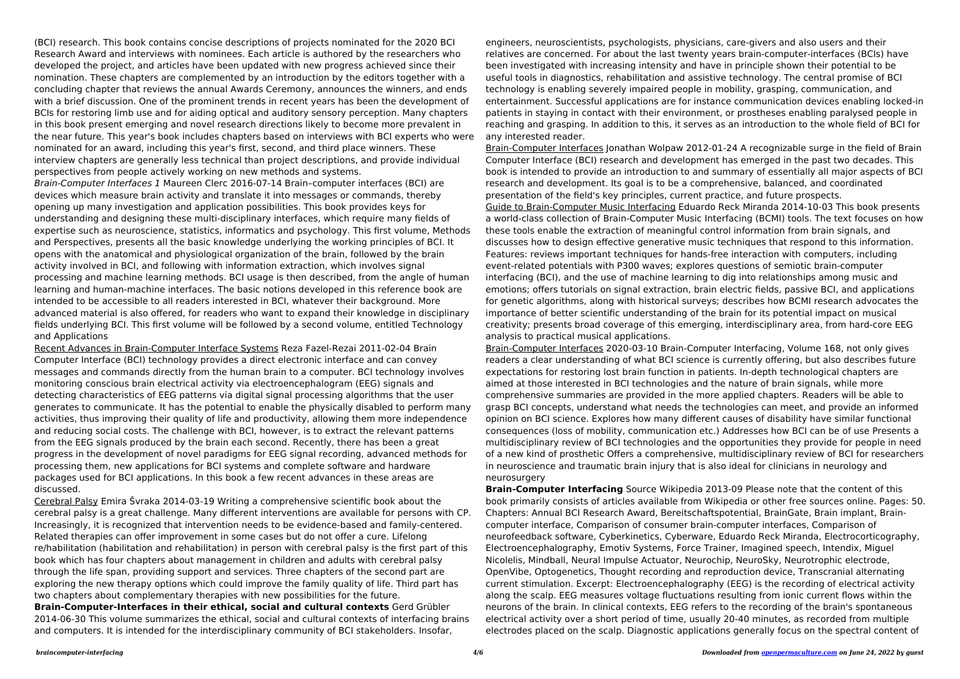(BCI) research. This book contains concise descriptions of projects nominated for the 2020 BCI Research Award and interviews with nominees. Each article is authored by the researchers who developed the project, and articles have been updated with new progress achieved since their nomination. These chapters are complemented by an introduction by the editors together with a concluding chapter that reviews the annual Awards Ceremony, announces the winners, and ends with a brief discussion. One of the prominent trends in recent years has been the development of BCIs for restoring limb use and for aiding optical and auditory sensory perception. Many chapters in this book present emerging and novel research directions likely to become more prevalent in the near future. This year's book includes chapters based on interviews with BCI experts who were nominated for an award, including this year's first, second, and third place winners. These interview chapters are generally less technical than project descriptions, and provide individual perspectives from people actively working on new methods and systems.

Brain-Computer Interfaces 1 Maureen Clerc 2016-07-14 Brain–computer interfaces (BCI) are devices which measure brain activity and translate it into messages or commands, thereby opening up many investigation and application possibilities. This book provides keys for understanding and designing these multi-disciplinary interfaces, which require many fields of expertise such as neuroscience, statistics, informatics and psychology. This first volume, Methods and Perspectives, presents all the basic knowledge underlying the working principles of BCI. It opens with the anatomical and physiological organization of the brain, followed by the brain activity involved in BCI, and following with information extraction, which involves signal processing and machine learning methods. BCI usage is then described, from the angle of human learning and human-machine interfaces. The basic notions developed in this reference book are intended to be accessible to all readers interested in BCI, whatever their background. More advanced material is also offered, for readers who want to expand their knowledge in disciplinary fields underlying BCI. This first volume will be followed by a second volume, entitled Technology and Applications

Recent Advances in Brain-Computer Interface Systems Reza Fazel-Rezai 2011-02-04 Brain Computer Interface (BCI) technology provides a direct electronic interface and can convey messages and commands directly from the human brain to a computer. BCI technology involves monitoring conscious brain electrical activity via electroencephalogram (EEG) signals and detecting characteristics of EEG patterns via digital signal processing algorithms that the user generates to communicate. It has the potential to enable the physically disabled to perform many activities, thus improving their quality of life and productivity, allowing them more independence and reducing social costs. The challenge with BCI, however, is to extract the relevant patterns from the EEG signals produced by the brain each second. Recently, there has been a great progress in the development of novel paradigms for EEG signal recording, advanced methods for processing them, new applications for BCI systems and complete software and hardware packages used for BCI applications. In this book a few recent advances in these areas are discussed.

Cerebral Palsy Emira Švraka 2014-03-19 Writing a comprehensive scientific book about the cerebral palsy is a great challenge. Many different interventions are available for persons with CP. Increasingly, it is recognized that intervention needs to be evidence-based and family-centered. Related therapies can offer improvement in some cases but do not offer a cure. Lifelong re/habilitation (habilitation and rehabilitation) in person with cerebral palsy is the first part of this book which has four chapters about management in children and adults with cerebral palsy through the life span, providing support and services. Three chapters of the second part are exploring the new therapy options which could improve the family quality of life. Third part has two chapters about complementary therapies with new possibilities for the future.

**Brain-Computer-Interfaces in their ethical, social and cultural contexts** Gerd Grübler 2014-06-30 This volume summarizes the ethical, social and cultural contexts of interfacing brains and computers. It is intended for the interdisciplinary community of BCI stakeholders. Insofar,

engineers, neuroscientists, psychologists, physicians, care-givers and also users and their relatives are concerned. For about the last twenty years brain-computer-interfaces (BCIs) have been investigated with increasing intensity and have in principle shown their potential to be useful tools in diagnostics, rehabilitation and assistive technology. The central promise of BCI technology is enabling severely impaired people in mobility, grasping, communication, and entertainment. Successful applications are for instance communication devices enabling locked-in patients in staying in contact with their environment, or prostheses enabling paralysed people in reaching and grasping. In addition to this, it serves as an introduction to the whole field of BCI for any interested reader.

Brain-Computer Interfaces Jonathan Wolpaw 2012-01-24 A recognizable surge in the field of Brain Computer Interface (BCI) research and development has emerged in the past two decades. This book is intended to provide an introduction to and summary of essentially all major aspects of BCI research and development. Its goal is to be a comprehensive, balanced, and coordinated presentation of the field's key principles, current practice, and future prospects. Guide to Brain-Computer Music Interfacing Eduardo Reck Miranda 2014-10-03 This book presents a world-class collection of Brain-Computer Music Interfacing (BCMI) tools. The text focuses on how these tools enable the extraction of meaningful control information from brain signals, and discusses how to design effective generative music techniques that respond to this information. Features: reviews important techniques for hands-free interaction with computers, including event-related potentials with P300 waves; explores questions of semiotic brain-computer interfacing (BCI), and the use of machine learning to dig into relationships among music and emotions; offers tutorials on signal extraction, brain electric fields, passive BCI, and applications for genetic algorithms, along with historical surveys; describes how BCMI research advocates the importance of better scientific understanding of the brain for its potential impact on musical creativity; presents broad coverage of this emerging, interdisciplinary area, from hard-core EEG analysis to practical musical applications.

Brain-Computer Interfaces 2020-03-10 Brain-Computer Interfacing, Volume 168, not only gives readers a clear understanding of what BCI science is currently offering, but also describes future expectations for restoring lost brain function in patients. In-depth technological chapters are aimed at those interested in BCI technologies and the nature of brain signals, while more comprehensive summaries are provided in the more applied chapters. Readers will be able to grasp BCI concepts, understand what needs the technologies can meet, and provide an informed opinion on BCI science. Explores how many different causes of disability have similar functional consequences (loss of mobility, communication etc.) Addresses how BCI can be of use Presents a multidisciplinary review of BCI technologies and the opportunities they provide for people in need of a new kind of prosthetic Offers a comprehensive, multidisciplinary review of BCI for researchers in neuroscience and traumatic brain injury that is also ideal for clinicians in neurology and neurosurgery

**Brain-Computer Interfacing** Source Wikipedia 2013-09 Please note that the content of this book primarily consists of articles available from Wikipedia or other free sources online. Pages: 50. Chapters: Annual BCI Research Award, Bereitschaftspotential, BrainGate, Brain implant, Braincomputer interface, Comparison of consumer brain-computer interfaces, Comparison of neurofeedback software, Cyberkinetics, Cyberware, Eduardo Reck Miranda, Electrocorticography, Electroencephalography, Emotiv Systems, Force Trainer, Imagined speech, Intendix, Miguel Nicolelis, Mindball, Neural Impulse Actuator, Neurochip, NeuroSky, Neurotrophic electrode, OpenVibe, Optogenetics, Thought recording and reproduction device, Transcranial alternating current stimulation. Excerpt: Electroencephalography (EEG) is the recording of electrical activity along the scalp. EEG measures voltage fluctuations resulting from ionic current flows within the neurons of the brain. In clinical contexts, EEG refers to the recording of the brain's spontaneous electrical activity over a short period of time, usually 20-40 minutes, as recorded from multiple electrodes placed on the scalp. Diagnostic applications generally focus on the spectral content of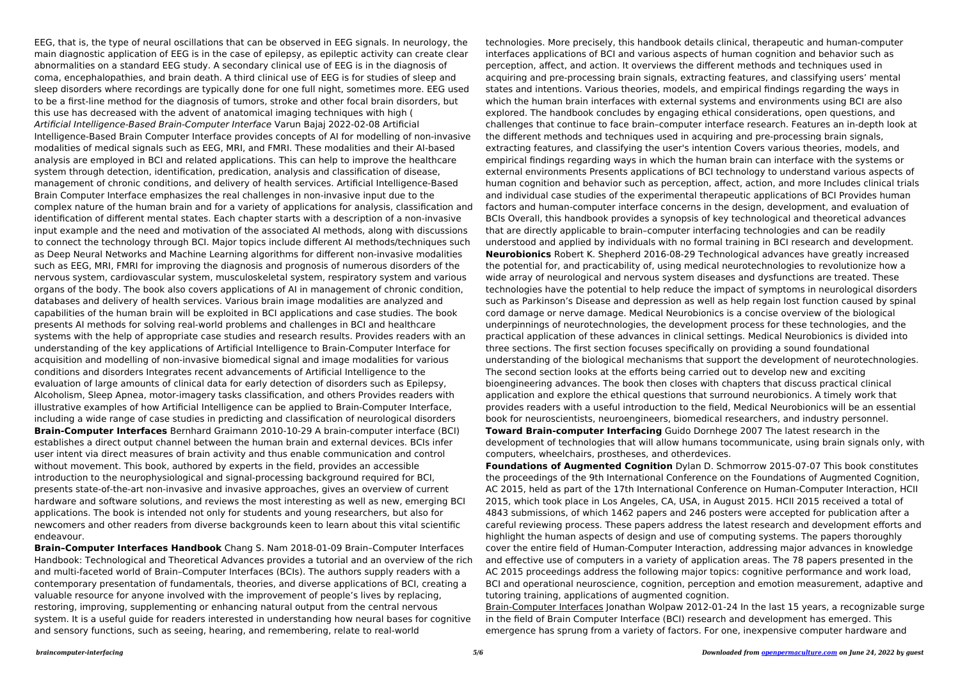EEG, that is, the type of neural oscillations that can be observed in EEG signals. In neurology, the main diagnostic application of EEG is in the case of epilepsy, as epileptic activity can create clear abnormalities on a standard EEG study. A secondary clinical use of EEG is in the diagnosis of coma, encephalopathies, and brain death. A third clinical use of EEG is for studies of sleep and sleep disorders where recordings are typically done for one full night, sometimes more. EEG used to be a first-line method for the diagnosis of tumors, stroke and other focal brain disorders, but this use has decreased with the advent of anatomical imaging techniques with high ( Artificial Intelligence-Based Brain-Computer Interface Varun Bajaj 2022-02-08 Artificial Intelligence-Based Brain Computer Interface provides concepts of AI for modelling of non-invasive modalities of medical signals such as EEG, MRI, and FMRI. These modalities and their AI-based analysis are employed in BCI and related applications. This can help to improve the healthcare system through detection, identification, predication, analysis and classification of disease, management of chronic conditions, and delivery of health services. Artificial Intelligence-Based Brain Computer Interface emphasizes the real challenges in non-invasive input due to the complex nature of the human brain and for a variety of applications for analysis, classification and identification of different mental states. Each chapter starts with a description of a non-invasive input example and the need and motivation of the associated AI methods, along with discussions to connect the technology through BCI. Major topics include different AI methods/techniques such as Deep Neural Networks and Machine Learning algorithms for different non-invasive modalities such as EEG, MRI, FMRI for improving the diagnosis and prognosis of numerous disorders of the nervous system, cardiovascular system, musculoskeletal system, respiratory system and various organs of the body. The book also covers applications of AI in management of chronic condition, databases and delivery of health services. Various brain image modalities are analyzed and capabilities of the human brain will be exploited in BCI applications and case studies. The book presents AI methods for solving real-world problems and challenges in BCI and healthcare systems with the help of appropriate case studies and research results. Provides readers with an understanding of the key applications of Artificial Intelligence to Brain-Computer Interface for acquisition and modelling of non-invasive biomedical signal and image modalities for various conditions and disorders Integrates recent advancements of Artificial Intelligence to the evaluation of large amounts of clinical data for early detection of disorders such as Epilepsy, Alcoholism, Sleep Apnea, motor-imagery tasks classification, and others Provides readers with illustrative examples of how Artificial Intelligence can be applied to Brain-Computer Interface, including a wide range of case studies in predicting and classification of neurological disorders **Brain-Computer Interfaces** Bernhard Graimann 2010-10-29 A brain-computer interface (BCI) establishes a direct output channel between the human brain and external devices. BCIs infer user intent via direct measures of brain activity and thus enable communication and control without movement. This book, authored by experts in the field, provides an accessible introduction to the neurophysiological and signal-processing background required for BCI, presents state-of-the-art non-invasive and invasive approaches, gives an overview of current hardware and software solutions, and reviews the most interesting as well as new, emerging BCI applications. The book is intended not only for students and young researchers, but also for newcomers and other readers from diverse backgrounds keen to learn about this vital scientific endeavour.

**Brain–Computer Interfaces Handbook** Chang S. Nam 2018-01-09 Brain–Computer Interfaces Handbook: Technological and Theoretical Advances provides a tutorial and an overview of the rich and multi-faceted world of Brain–Computer Interfaces (BCIs). The authors supply readers with a contemporary presentation of fundamentals, theories, and diverse applications of BCI, creating a valuable resource for anyone involved with the improvement of people's lives by replacing, restoring, improving, supplementing or enhancing natural output from the central nervous system. It is a useful guide for readers interested in understanding how neural bases for cognitive and sensory functions, such as seeing, hearing, and remembering, relate to real-world

technologies. More precisely, this handbook details clinical, therapeutic and human-computer interfaces applications of BCI and various aspects of human cognition and behavior such as perception, affect, and action. It overviews the different methods and techniques used in acquiring and pre-processing brain signals, extracting features, and classifying users' mental states and intentions. Various theories, models, and empirical findings regarding the ways in which the human brain interfaces with external systems and environments using BCI are also explored. The handbook concludes by engaging ethical considerations, open questions, and challenges that continue to face brain–computer interface research. Features an in-depth look at the different methods and techniques used in acquiring and pre-processing brain signals, extracting features, and classifying the user's intention Covers various theories, models, and empirical findings regarding ways in which the human brain can interface with the systems or external environments Presents applications of BCI technology to understand various aspects of human cognition and behavior such as perception, affect, action, and more Includes clinical trials and individual case studies of the experimental therapeutic applications of BCI Provides human factors and human-computer interface concerns in the design, development, and evaluation of BCIs Overall, this handbook provides a synopsis of key technological and theoretical advances that are directly applicable to brain–computer interfacing technologies and can be readily understood and applied by individuals with no formal training in BCI research and development. **Neurobionics** Robert K. Shepherd 2016-08-29 Technological advances have greatly increased the potential for, and practicability of, using medical neurotechnologies to revolutionize how a wide array of neurological and nervous system diseases and dysfunctions are treated. These technologies have the potential to help reduce the impact of symptoms in neurological disorders such as Parkinson's Disease and depression as well as help regain lost function caused by spinal cord damage or nerve damage. Medical Neurobionics is a concise overview of the biological underpinnings of neurotechnologies, the development process for these technologies, and the practical application of these advances in clinical settings. Medical Neurobionics is divided into three sections. The first section focuses specifically on providing a sound foundational understanding of the biological mechanisms that support the development of neurotechnologies. The second section looks at the efforts being carried out to develop new and exciting bioengineering advances. The book then closes with chapters that discuss practical clinical application and explore the ethical questions that surround neurobionics. A timely work that provides readers with a useful introduction to the field, Medical Neurobionics will be an essential book for neuroscientists, neuroengineers, biomedical researchers, and industry personnel. **Toward Brain-computer Interfacing** Guido Dornhege 2007 The latest research in the development of technologies that will allow humans tocommunicate, using brain signals only, with computers, wheelchairs, prostheses, and otherdevices. **Foundations of Augmented Cognition** Dylan D. Schmorrow 2015-07-07 This book constitutes the proceedings of the 9th International Conference on the Foundations of Augmented Cognition, AC 2015, held as part of the 17th International Conference on Human-Computer Interaction, HCII 2015, which took place in Los Angeles, CA, USA, in August 2015. HCII 2015 received a total of 4843 submissions, of which 1462 papers and 246 posters were accepted for publication after a careful reviewing process. These papers address the latest research and development efforts and highlight the human aspects of design and use of computing systems. The papers thoroughly cover the entire field of Human-Computer Interaction, addressing major advances in knowledge and effective use of computers in a variety of application areas. The 78 papers presented in the AC 2015 proceedings address the following major topics: cognitive performance and work load, BCI and operational neuroscience, cognition, perception and emotion measurement, adaptive and tutoring training, applications of augmented cognition. Brain-Computer Interfaces Jonathan Wolpaw 2012-01-24 In the last 15 years, a recognizable surge in the field of Brain Computer Interface (BCI) research and development has emerged. This emergence has sprung from a variety of factors. For one, inexpensive computer hardware and